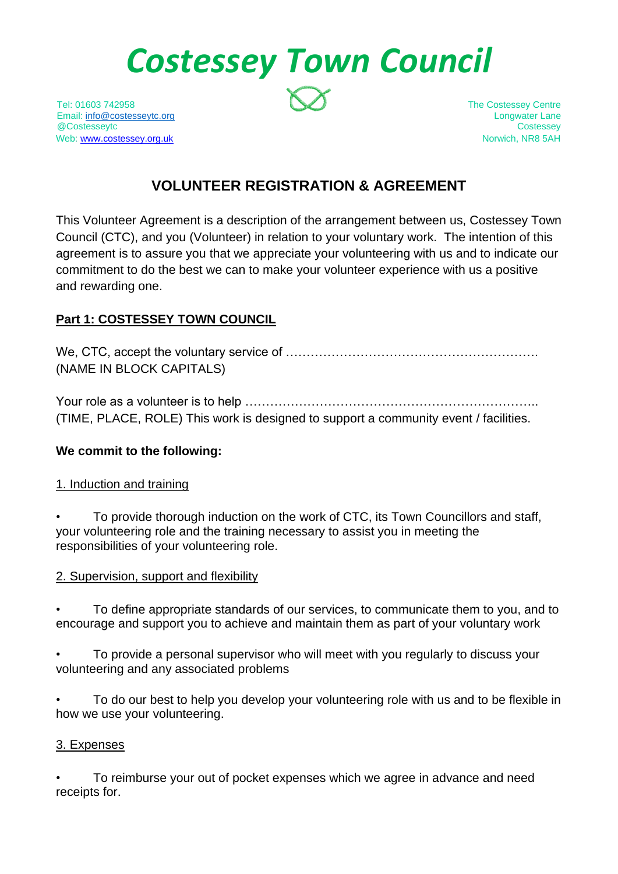# *Costessey Town Council*

Tel: 01603 742958 The Costessey Centre Email: [info@costesseytc.org](mailto:info@costesseytc.org) Longwater Lane @Costesseytc Costessey Web[: www.costessey.org.uk](http://www.costessey.org.uk/) Norwich, NR8 5AH

# **VOLUNTEER REGISTRATION & AGREEMENT**

This Volunteer Agreement is a description of the arrangement between us, Costessey Town Council (CTC), and you (Volunteer) in relation to your voluntary work. The intention of this agreement is to assure you that we appreciate your volunteering with us and to indicate our commitment to do the best we can to make your volunteer experience with us a positive and rewarding one.

# **Part 1: COSTESSEY TOWN COUNCIL**

We, CTC, accept the voluntary service of ……………………………………………………. (NAME IN BLOCK CAPITALS)

Your role as a volunteer is to help …………………………………………………………….. (TIME, PLACE, ROLE) This work is designed to support a community event / facilities.

# **We commit to the following:**

# 1. Induction and training

• To provide thorough induction on the work of CTC, its Town Councillors and staff, your volunteering role and the training necessary to assist you in meeting the responsibilities of your volunteering role.

# 2. Supervision, support and flexibility

• To define appropriate standards of our services, to communicate them to you, and to encourage and support you to achieve and maintain them as part of your voluntary work

• To provide a personal supervisor who will meet with you regularly to discuss your volunteering and any associated problems

• To do our best to help you develop your volunteering role with us and to be flexible in how we use your volunteering.

#### 3. Expenses

• To reimburse your out of pocket expenses which we agree in advance and need receipts for.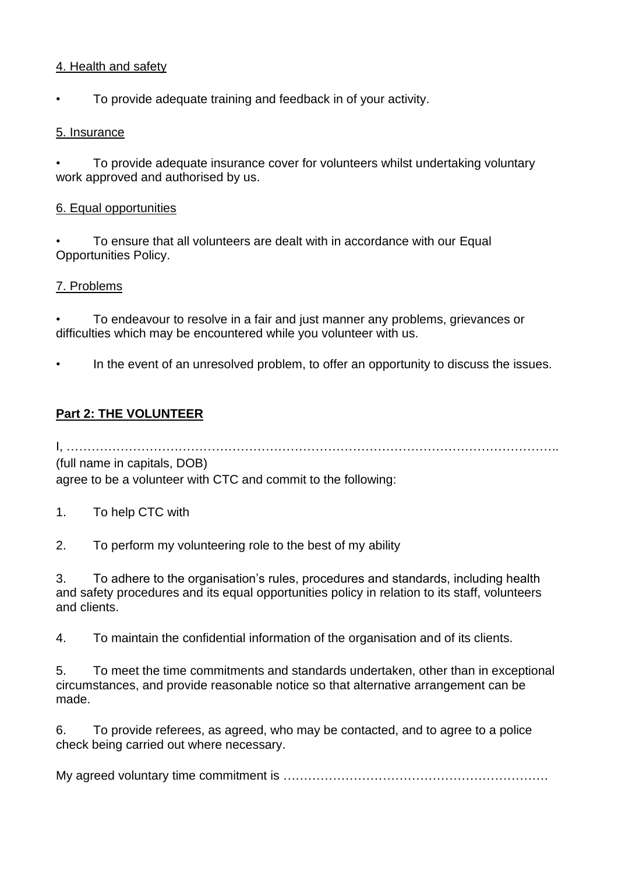#### 4. Health and safety

• To provide adequate training and feedback in of your activity.

### 5. Insurance

• To provide adequate insurance cover for volunteers whilst undertaking voluntary work approved and authorised by us.

#### 6. Equal opportunities

• To ensure that all volunteers are dealt with in accordance with our Equal Opportunities Policy.

#### 7. Problems

• To endeavour to resolve in a fair and just manner any problems, grievances or difficulties which may be encountered while you volunteer with us.

In the event of an unresolved problem, to offer an opportunity to discuss the issues.

# **Part 2: THE VOLUNTEER**

I, ……………………………………………………………………………………………………….. (full name in capitals, DOB)

agree to be a volunteer with CTC and commit to the following:

1. To help CTC with

2. To perform my volunteering role to the best of my ability

3. To adhere to the organisation's rules, procedures and standards, including health and safety procedures and its equal opportunities policy in relation to its staff, volunteers and clients.

4. To maintain the confidential information of the organisation and of its clients.

5. To meet the time commitments and standards undertaken, other than in exceptional circumstances, and provide reasonable notice so that alternative arrangement can be made.

6. To provide referees, as agreed, who may be contacted, and to agree to a police check being carried out where necessary.

My agreed voluntary time commitment is ……………………………………………………….